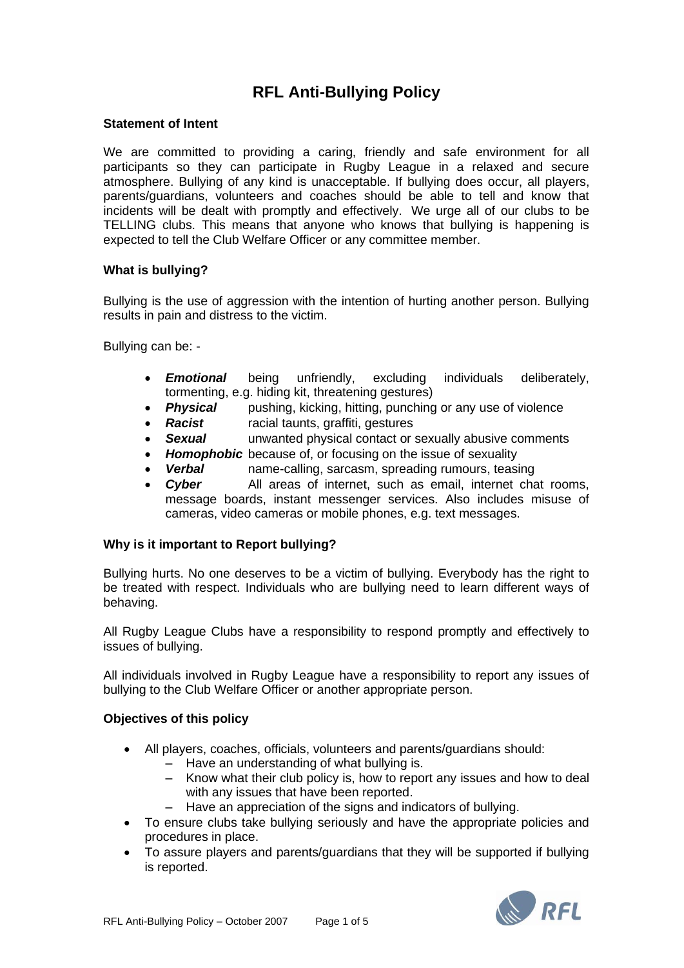# **RFL Anti-Bullying Policy**

#### **Statement of Intent**

We are committed to providing a caring, friendly and safe environment for all participants so they can participate in Rugby League in a relaxed and secure atmosphere. Bullying of any kind is unacceptable. If bullying does occur, all players, parents/guardians, volunteers and coaches should be able to tell and know that incidents will be dealt with promptly and effectively. We urge all of our clubs to be TELLING clubs. This means that anyone who knows that bullying is happening is expected to tell the Club Welfare Officer or any committee member.

## **What is bullying?**

Bullying is the use of aggression with the intention of hurting another person. Bullying results in pain and distress to the victim.

Bullying can be: -

- *Emotional* being unfriendly, excluding individuals deliberately, tormenting, e.g. hiding kit, threatening gestures)
- **Physical** pushing, kicking, hitting, punching or any use of violence
- *Racist* racial taunts, graffiti, gestures
- **Sexual** unwanted physical contact or sexually abusive comments
- *Homophobic* because of, or focusing on the issue of sexuality
- *Verbal* name-calling, sarcasm, spreading rumours, teasing
- *Cyber* All areas of internet, such as email, internet chat rooms, message boards, instant messenger services. Also includes misuse of cameras, video cameras or mobile phones, e.g. text messages.

## **Why is it important to Report bullying?**

Bullying hurts. No one deserves to be a victim of bullying. Everybody has the right to be treated with respect. Individuals who are bullying need to learn different ways of behaving.

All Rugby League Clubs have a responsibility to respond promptly and effectively to issues of bullying.

All individuals involved in Rugby League have a responsibility to report any issues of bullying to the Club Welfare Officer or another appropriate person.

## **Objectives of this policy**

- All players, coaches, officials, volunteers and parents/guardians should:
	- $-$  Have an understanding of what bullying is.
	- Know what their club policy is, how to report any issues and how to deal with any issues that have been reported.
	- Have an appreciation of the signs and indicators of bullying.
- To ensure clubs take bullying seriously and have the appropriate policies and procedures in place.
- To assure players and parents/guardians that they will be supported if bullying is reported.

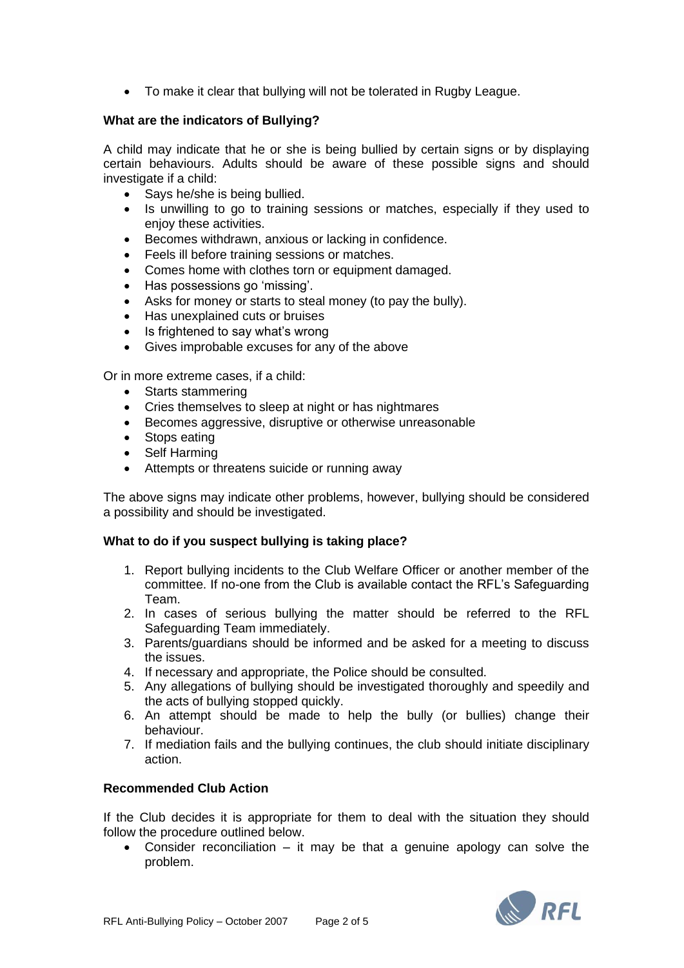• To make it clear that bullying will not be tolerated in Rugby League.

## **What are the indicators of Bullying?**

A child may indicate that he or she is being bullied by certain signs or by displaying certain behaviours. Adults should be aware of these possible signs and should investigate if a child:

- Says he/she is being bullied.
- Is unwilling to go to training sessions or matches, especially if they used to enjoy these activities.
- Becomes withdrawn, anxious or lacking in confidence.
- Feels ill before training sessions or matches.
- Comes home with clothes torn or equipment damaged.
- Has possessions go 'missing'.
- Asks for money or starts to steal money (to pay the bully).
- Has unexplained cuts or bruises
- Is frightened to say what's wrong
- Gives improbable excuses for any of the above

Or in more extreme cases, if a child:

- Starts stammering
- Cries themselves to sleep at night or has nightmares
- Becomes aggressive, disruptive or otherwise unreasonable
- Stops eating
- Self Harming
- Attempts or threatens suicide or running away

The above signs may indicate other problems, however, bullying should be considered a possibility and should be investigated.

## **What to do if you suspect bullying is taking place?**

- 1. Report bullying incidents to the Club Welfare Officer or another member of the committee. If no-one from the Club is available contact the RFL's Safeguarding Team.
- 2. In cases of serious bullying the matter should be referred to the RFL Safeguarding Team immediately.
- 3. Parents/guardians should be informed and be asked for a meeting to discuss the issues.
- 4. If necessary and appropriate, the Police should be consulted.
- 5. Any allegations of bullying should be investigated thoroughly and speedily and the acts of bullying stopped quickly.
- 6. An attempt should be made to help the bully (or bullies) change their behaviour.
- 7. If mediation fails and the bullying continues, the club should initiate disciplinary action.

## **Recommended Club Action**

If the Club decides it is appropriate for them to deal with the situation they should follow the procedure outlined below.

• Consider reconciliation – it may be that a genuine apology can solve the problem.

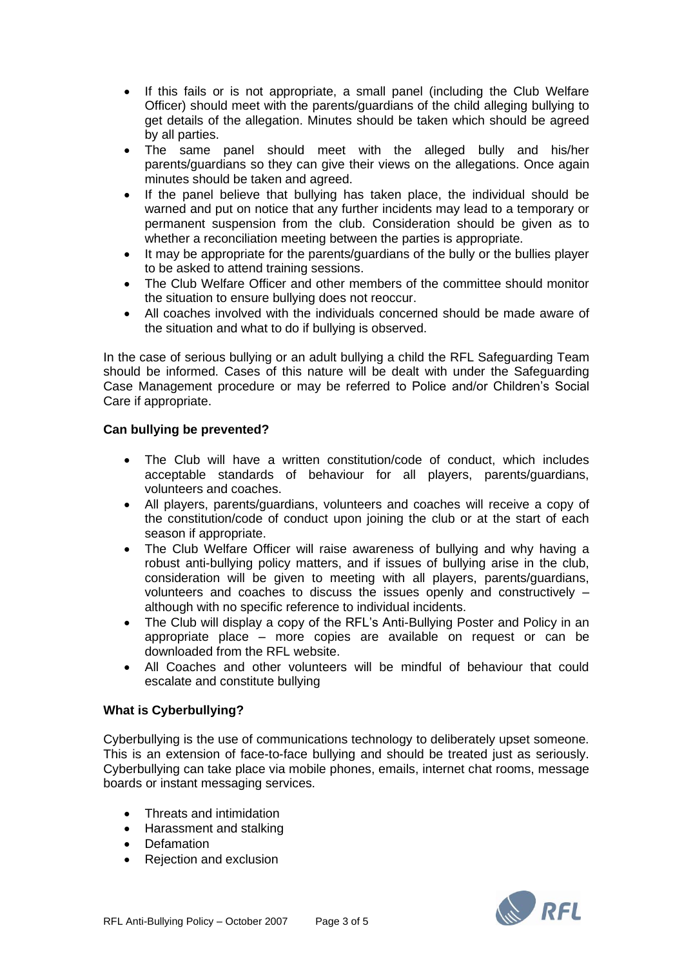- If this fails or is not appropriate, a small panel (including the Club Welfare Officer) should meet with the parents/guardians of the child alleging bullying to get details of the allegation. Minutes should be taken which should be agreed by all parties.
- The same panel should meet with the alleged bully and his/her parents/guardians so they can give their views on the allegations. Once again minutes should be taken and agreed.
- If the panel believe that bullying has taken place, the individual should be warned and put on notice that any further incidents may lead to a temporary or permanent suspension from the club. Consideration should be given as to whether a reconciliation meeting between the parties is appropriate.
- It may be appropriate for the parents/guardians of the bully or the bullies player to be asked to attend training sessions.
- The Club Welfare Officer and other members of the committee should monitor the situation to ensure bullying does not reoccur.
- All coaches involved with the individuals concerned should be made aware of the situation and what to do if bullying is observed.

In the case of serious bullying or an adult bullying a child the RFL Safeguarding Team should be informed. Cases of this nature will be dealt with under the Safeguarding Case Management procedure or may be referred to Police and/or Children's Social Care if appropriate.

## **Can bullying be prevented?**

- The Club will have a written constitution/code of conduct, which includes acceptable standards of behaviour for all players, parents/guardians, volunteers and coaches.
- All players, parents/guardians, volunteers and coaches will receive a copy of the constitution/code of conduct upon joining the club or at the start of each season if appropriate.
- The Club Welfare Officer will raise awareness of bullying and why having a robust anti-bullying policy matters, and if issues of bullying arise in the club, consideration will be given to meeting with all players, parents/guardians, volunteers and coaches to discuss the issues openly and constructively – although with no specific reference to individual incidents.
- The Club will display a copy of the RFL's Anti-Bullying Poster and Policy in an appropriate place – more copies are available on request or can be downloaded from the RFL website.
- All Coaches and other volunteers will be mindful of behaviour that could escalate and constitute bullying

## **What is Cyberbullying?**

Cyberbullying is the use of communications technology to deliberately upset someone. This is an extension of face-to-face bullying and should be treated just as seriously. Cyberbullying can take place via mobile phones, emails, internet chat rooms, message boards or instant messaging services.

- Threats and intimidation
- Harassment and stalking
- Defamation
- Rejection and exclusion

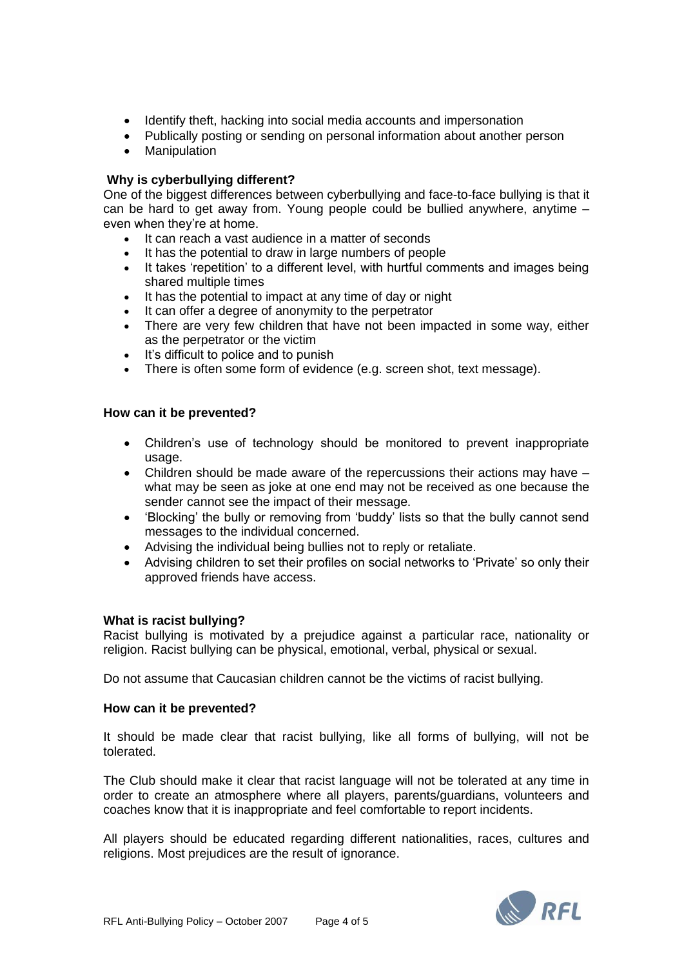- Identify theft, hacking into social media accounts and impersonation
- Publically posting or sending on personal information about another person
- Manipulation

## **Why is cyberbullying different?**

One of the biggest differences between cyberbullying and face-to-face bullying is that it can be hard to get away from. Young people could be bullied anywhere, anytime – even when they're at home.

- It can reach a vast audience in a matter of seconds
- It has the potential to draw in large numbers of people
- It takes 'repetition' to a different level, with hurtful comments and images being shared multiple times
- It has the potential to impact at any time of day or night
- It can offer a degree of anonymity to the perpetrator
- There are very few children that have not been impacted in some way, either as the perpetrator or the victim
- It's difficult to police and to punish
- There is often some form of evidence (e.g. screen shot, text message).

## **How can it be prevented?**

- Children's use of technology should be monitored to prevent inappropriate usage.
- Children should be made aware of the repercussions their actions may have  $$ what may be seen as joke at one end may not be received as one because the sender cannot see the impact of their message.
- 'Blocking' the bully or removing from 'buddy' lists so that the bully cannot send messages to the individual concerned.
- Advising the individual being bullies not to reply or retaliate.
- Advising children to set their profiles on social networks to 'Private' so only their approved friends have access.

## **What is racist bullying?**

Racist bullying is motivated by a prejudice against a particular race, nationality or religion. Racist bullying can be physical, emotional, verbal, physical or sexual.

Do not assume that Caucasian children cannot be the victims of racist bullying.

## **How can it be prevented?**

It should be made clear that racist bullying, like all forms of bullying, will not be tolerated.

The Club should make it clear that racist language will not be tolerated at any time in order to create an atmosphere where all players, parents/guardians, volunteers and coaches know that it is inappropriate and feel comfortable to report incidents.

All players should be educated regarding different nationalities, races, cultures and religions. Most prejudices are the result of ignorance.